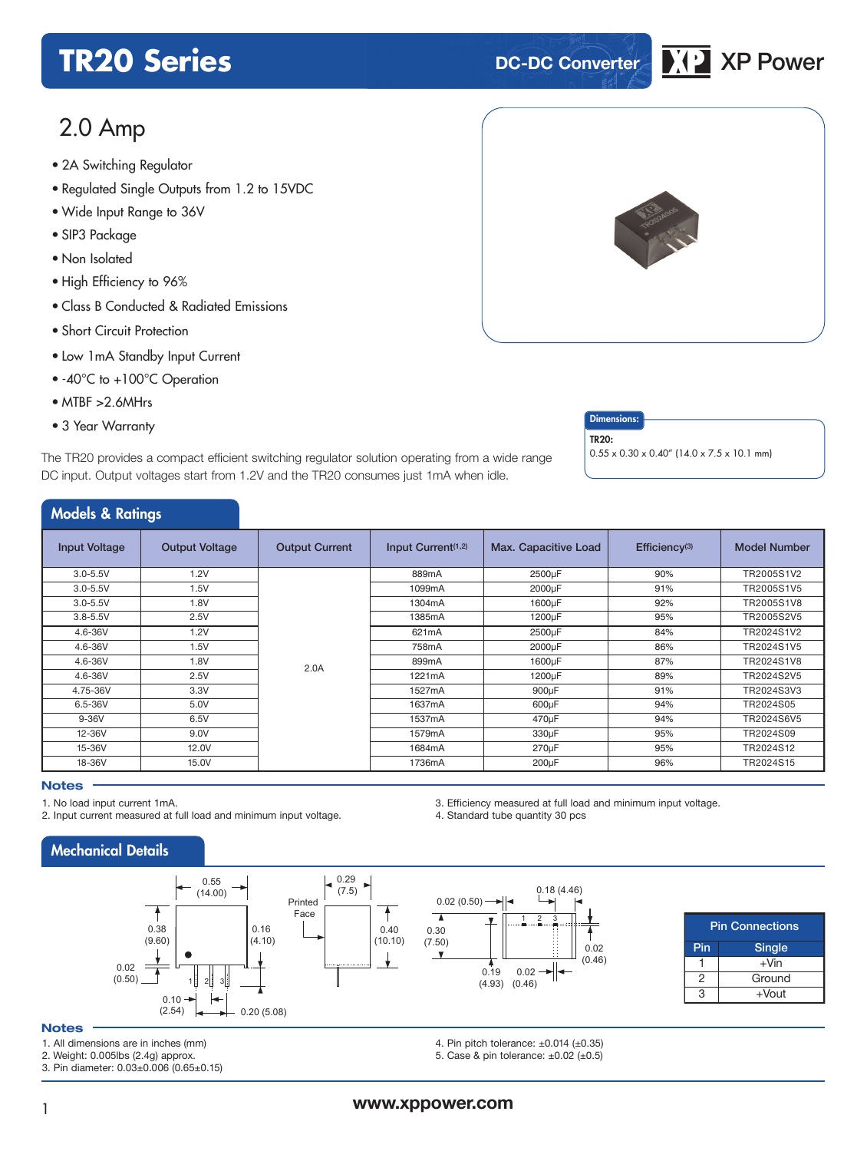# **TR20 Series DC-DC Converter XP** XP Power



# 2.0 Amp

- 2A Switching Regulator<br>e.P. a.J. a.J. 6: a.J. 6: a.J. 6
- Regulated Single Outputs from 1.2 to 15VDC
- Wide Input Range to 36V
- SIP3 Package
- Non Isolated
- High Efficiency to 96%
- Class B Conducted & Radiated Emissions
- Short Circuit Protection
- Low 1mA Standby Input Current
- -40°C to +100°C Operation
- MTBF >2.6MHrs
- 3 Year Warranty **Dimensions:**

The TR20 provides a compact efficient switching regulator solution operating from a wide range DC input. Output voltages start from 1.2V and the TR20 consumes just 1mA when idle.



TR20:

 $0.55 \times 0.30 \times 0.40''$  (14.0 x 7.5 x 10.1 mm)

## Models & Ratings

| <b><i>INCUBIS</i> CC NUTTILIS</b> |                       |                       |                       |                      |                           |                     |
|-----------------------------------|-----------------------|-----------------------|-----------------------|----------------------|---------------------------|---------------------|
| <b>Input Voltage</b>              | <b>Output Voltage</b> | <b>Output Current</b> | Input Current $(1,2)$ | Max. Capacitive Load | Efficiency <sup>(3)</sup> | <b>Model Number</b> |
| $3.0 - 5.5V$                      | 1.2V                  |                       | 889mA                 | 2500µF               | 90%                       | TR2005S1V2          |
| $3.0 - 5.5V$                      | 1.5V                  |                       | 1099mA                | 2000µF               | 91%                       | TR2005S1V5          |
| $3.0 - 5.5V$                      | 1.8V                  |                       | 1304mA                | 1600µF               | 92%                       | TR2005S1V8          |
| $3.8 - 5.5V$                      | 2.5V                  |                       | 1385mA                | 1200µF               | 95%                       | TR2005S2V5          |
| 4.6-36V                           | 1.2V                  |                       | 621mA                 | 2500µF               | 84%                       | TR2024S1V2          |
| 4.6-36V                           | 1.5V                  |                       | 758mA                 | 2000µF               | 86%                       | TR2024S1V5          |
| $4.6 - 36V$                       | 1.8V                  | 2.0A                  | 899mA                 | 1600µF               | 87%                       | TR2024S1V8          |
| 4.6-36V                           | 2.5V                  |                       | 1221mA                | 1200µF               | 89%                       | TR2024S2V5          |
| 4.75-36V                          | 3.3V                  |                       | 1527mA                | 900µF                | 91%                       | TR2024S3V3          |
| 6.5-36V                           | 5.0V                  |                       | 1637mA                | 600µF                | 94%                       | TR2024S05           |
| $9-36V$                           | 6.5V                  |                       | 1537mA                | 470µF                | 94%                       | TR2024S6V5          |
| 12-36V                            | 9.0V                  |                       | 1579mA                | 330µF                | 95%                       | TR2024S09           |
| 15-36V                            | 12.0V                 |                       | 1684mA                | $270 \mu F$          | 95%                       | TR2024S12           |
| 18-36V                            | 15.0V                 |                       | 1736mA                | $200\mu F$           | 96%                       | TR2024S15           |

#### **Notes**

1. No load input current 1mA.

2. Input current measured at full load and minimum input voltage.

3. Efficiency measured at full load and minimum input voltage. 4. Standard tube quantity 30 pcs

Mechanical Details



**Notes**

1. All dimensions are in inches (mm)

2. Weight: 0.005lbs (2.4g) approx.

3. Pin diameter: 0.03±0.006 (0.65±0.15)

0.18 (4.46) 0.02 (0.50)  $\overline{\phantom{a}}$  $1 \t2 \t3$ 0.30 (7.50) 0.02  $\overline{\phantom{a}}$  $(0.46)$  $0.19$ 0.02 (4.93) (0.46)

|     | <b>Pin Connections</b> |  |  |  |  |  |
|-----|------------------------|--|--|--|--|--|
| Pin | <b>Single</b>          |  |  |  |  |  |
|     | $+V$ in                |  |  |  |  |  |
|     | Ground                 |  |  |  |  |  |
|     | +Vout                  |  |  |  |  |  |

4. Pin pitch tolerance: ±0.014 (±0.35) 5. Case & pin tolerance:  $\pm 0.02$  ( $\pm 0.5$ )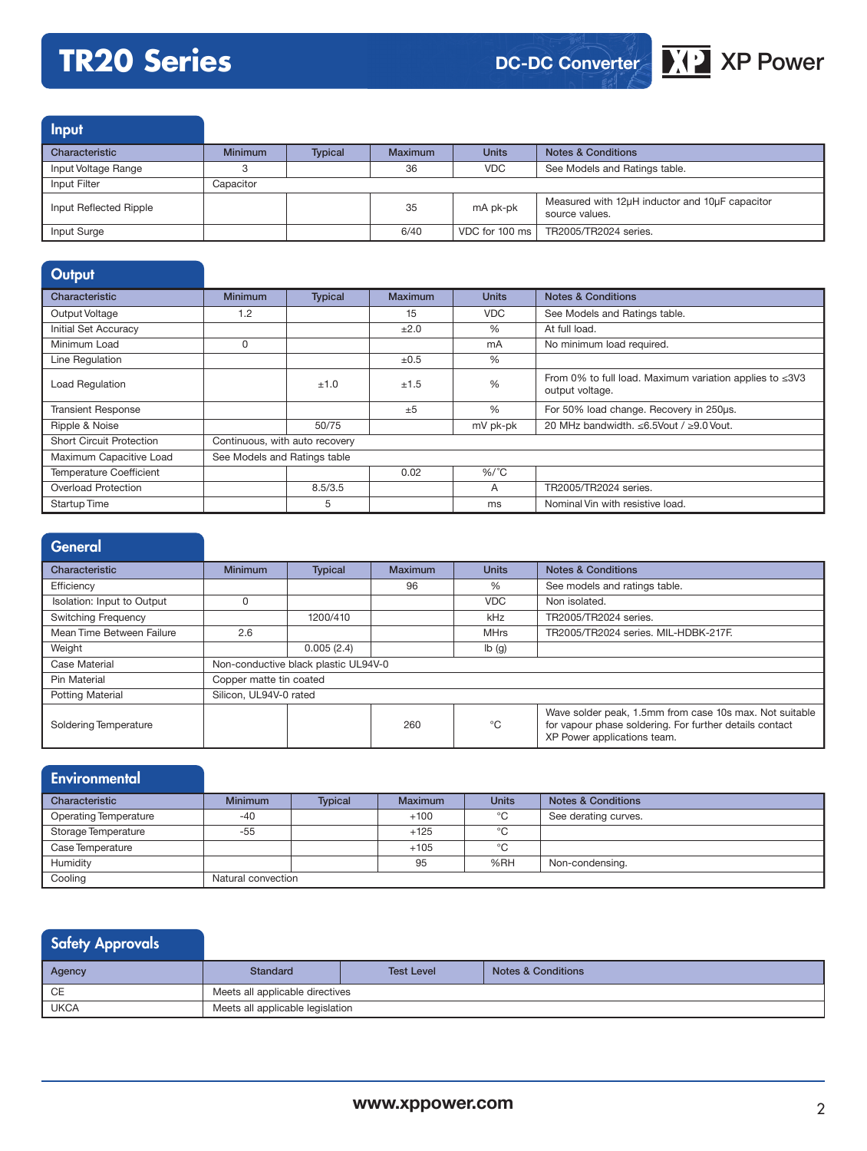# **TR20 Series XP** XP Power

# **DC-DC Converter**



Input Characteristic Minimum | Typical | Maximum | Units | Notes & Conditions Input Voltage Range 3 36 VDC See Models and Ratings table. Input Filter Capacitor Input Reflected Ripple <sup>35</sup> mA pk-pk Measured with 12μH inductor and 10μF capacitor source values. Input Surge 6/40 VDC for 100 ms TR2005/TR2024 series.

| Output                          |                                |                |         |              |                                                                                        |
|---------------------------------|--------------------------------|----------------|---------|--------------|----------------------------------------------------------------------------------------|
| Characteristic                  | <b>Minimum</b>                 | <b>Typical</b> | Maximum | <b>Units</b> | <b>Notes &amp; Conditions</b>                                                          |
| Output Voltage                  | 1.2                            |                | 15      | <b>VDC</b>   | See Models and Ratings table.                                                          |
| Initial Set Accuracy            |                                |                | ±2.0    | %            | At full load.                                                                          |
| Minimum Load                    | 0                              |                |         | mA           | No minimum load required.                                                              |
| Line Regulation                 |                                |                | ±0.5    | %            |                                                                                        |
| Load Regulation                 |                                | ±1.0           | ±1.5    | %            | From 0% to full load. Maximum variation applies to $\leq 3\sqrt{3}$<br>output voltage. |
| <b>Transient Response</b>       |                                |                | ±5      | %            | For 50% load change. Recovery in 250us.                                                |
| Ripple & Noise                  |                                | 50/75          |         | mV pk-pk     | 20 MHz bandwidth. ≤6.5Vout / ≥9.0 Vout.                                                |
| <b>Short Circuit Protection</b> | Continuous, with auto recovery |                |         |              |                                                                                        |
| Maximum Capacitive Load         | See Models and Ratings table   |                |         |              |                                                                                        |
| Temperature Coefficient         |                                |                | 0.02    | $%$ /°C      |                                                                                        |
| <b>Overload Protection</b>      |                                | 8.5/3.5        |         | A            | TR2005/TR2024 series.                                                                  |
| Startup Time                    |                                | 5              |         | ms           | Nominal Vin with resistive load.                                                       |

| General                                               |                         |                |                |              |                                                                                                                                                   |  |
|-------------------------------------------------------|-------------------------|----------------|----------------|--------------|---------------------------------------------------------------------------------------------------------------------------------------------------|--|
| Characteristic                                        | <b>Minimum</b>          | <b>Typical</b> | <b>Maximum</b> | <b>Units</b> | <b>Notes &amp; Conditions</b>                                                                                                                     |  |
| Efficiency                                            |                         |                | 96             | %            | See models and ratings table.                                                                                                                     |  |
| Isolation: Input to Output                            |                         |                |                | <b>VDC</b>   | Non isolated.                                                                                                                                     |  |
| <b>Switching Frequency</b>                            |                         | 1200/410       |                | kHz          | TR2005/TR2024 series.                                                                                                                             |  |
| Mean Time Between Failure                             | 2.6                     |                |                | <b>MHrs</b>  | TR2005/TR2024 series. MIL-HDBK-217F.                                                                                                              |  |
| Weight                                                |                         | 0.005(2.4)     |                | Ib(g)        |                                                                                                                                                   |  |
| Non-conductive black plastic UL94V-0<br>Case Material |                         |                |                |              |                                                                                                                                                   |  |
| Pin Material                                          | Copper matte tin coated |                |                |              |                                                                                                                                                   |  |
| <b>Potting Material</b>                               | Silicon, UL94V-0 rated  |                |                |              |                                                                                                                                                   |  |
| Soldering Temperature                                 |                         |                | 260            | °C           | Wave solder peak, 1.5mm from case 10s max. Not suitable<br>for vapour phase soldering. For further details contact<br>XP Power applications team. |  |

| <b>Environmental</b>         |                    |                |                |              |                               |
|------------------------------|--------------------|----------------|----------------|--------------|-------------------------------|
| Characteristic               | <b>Minimum</b>     | <b>Typical</b> | <b>Maximum</b> | <b>Units</b> | <b>Notes &amp; Conditions</b> |
| <b>Operating Temperature</b> | $-40$              |                | $+100$         | °C           | See derating curves.          |
| Storage Temperature          | $-55$              |                | $+125$         | °C           |                               |
| Case Temperature             |                    |                | $+105$         | $^{\circ}$ C |                               |
| Humidity                     |                    |                | 95             | %RH          | Non-condensing.               |
| Cooling                      | Natural convection |                |                |              |                               |

| <b>Safety Approvals</b> |  |
|-------------------------|--|
|-------------------------|--|

| Agency      | Standard                         | <b>Test Level</b> | <b>Notes &amp; Conditions</b> |  |  |  |
|-------------|----------------------------------|-------------------|-------------------------------|--|--|--|
| CE          | Meets all applicable directives  |                   |                               |  |  |  |
| <b>UKCA</b> | Meets all applicable legislation |                   |                               |  |  |  |